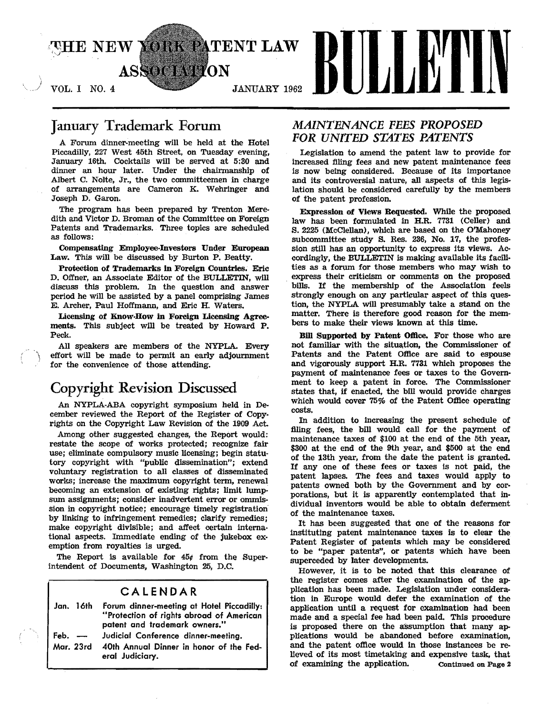

# January Trademark Forum

A Forum dinner-meeting will be held at the Hotel Piccadilly, 227 West 45th Street, on Tuesday evening, January 16th. Cocktails will be served at 5:80 and dinner an hour later. Under the chairmanship of Albert C. Nolte, Jr., the two committeemen in charge of arrangements are Cameron K. Wehringer and Joseph D. Garon.

The program has been prepared by Trenton Meredith and Victor D. Broman of the Committee on Foreign Patents and Trademarks. Three topics are scheduled as follows:

Compensating Employee-Investors Under European Law. This will be discussed by Burton P. Beatty.

Protection of Trademarks In Foreign Countries. Eric D. Offner, an Associate Editor of the BULLETIN, will discuss this problem. In the question and answer period he will be assisted by a panel comprising James E. Archer, Paul Hoffmann, and Eric H. Waters.

licensing of Know·How in Foreign Lieensing Agreements. This subject will be treated by Howard P. Peck.

All speakers are members of the NYPLA. Every effort will be made to permit an early adjournment for the convenience of those attending.

# Copyright Revision Discussed

An NYPLA-ABA copyright symposium held in December reviewed the Report of the Register of Copyrights on the Copyright Law Revision of the 1909 Act.

Among other suggested changes, the Report would: restate the scope of works protected; recognize fair use; eliminate compulsory music licensing; begin statutory copyright with "public dissemination"; extend voluntary registration to all classes of disseminated works; increase the maximum copyright term, renewal becoming an extension of existing rights; limit lumpsum assignments; consider inadvertent error or ommission in copyright notice; encourage timely registration by linking to infringement remedies; clarify remedies; make copyright divisible; and affect certain international aspects. Immediate ending of the jukebox exemption from royalties is urged.

The Report is available for  $45¢$  from the Superintendent of Documents, Washington 25, D.C.

### CALENDAR

| Jan. 16th | Forum dinner-meeting at Hotel Piccadilly:<br>"Protection of rights abroad of American<br>patent and trademark owners." |
|-----------|------------------------------------------------------------------------------------------------------------------------|
| Feb. $-\$ | Judicial Conference dinner-meeting.                                                                                    |
|           | Mar. 23rd 40th Annual Dinner in honor of the Fed-<br>eral Judiciary.                                                   |

# *MAINTENANCE FEES PROPOSED FOR UNITED STATES PATENTS*

Legislation to amend the patent law to provide for increased filing fees and new patent maintenance fees is now being considered. Because of its importance and its controversial nature, all aspects of this legislation should be considered carefully by the members of the patent profession.

Expression of Views Requested. While the proposed law has been formulated in H.R. 7781 (Celler) and S. 2225 (McClellan), which are based on the O'Mahoney subcommittee study S. Res. 286, No. 17, the profession still has an opportunity to express its views. Accordingly, the BULLETIN is making available its facilities as a forum for those members who may wish to express their criticism or comments on the proposed . bills. If the membership of the Association feels strongly enough on any particular aspect of this question, the NYPLA will presumably take a stand on the matter. There is therefore good reason for the members to make their views known at this time.

Bill Supported by Patent Office. For those who are not familiar with the situation, the Commissioner of Patents and the Patent Office are said to espouse and vigorously support H.R. 7731 which proposes the payment of maintenance fees or taxes to the Government to keep a patent in force. The Commissioner states that, if enacted, the bill would provide charges which would cover 75% of the Patent Office operating costs.

In addition to increasing the present schedule of flling fees, the bill would call for the payment of maintenance taxes of \$100 at the end of the 5th year, \$800 at the end of the 9th year, and \$500 at the end of the 13th year, from the date the patent is granted. If anyone of these fees or taxes is not paid, the patent lapses. The fees and taxes would apply to patents owned both by the Government and by corporations, but it is apparently contemplated that individual inventors would be able to obtain deferment of the maintenance taxes.

It has been suggested that one of the reasons for instituting patent maintenance taxes is to clear the Patent Register of patents which may be considered to be "paper patents", or patents which have been superceded by later developments.

However, it is to be noted that this clearance of the register comes after the examination of the application has been made. Legislation under consideration in Europe would defer the examination of the application until a request for examination had been made and a special fee had been paid. This procedure is proposed there on the assumption that many applications would be abandoned before examination, and the patent office would in those instances be relieved of its most timetaking and expensive task, that of examining the application. Continued on Page 2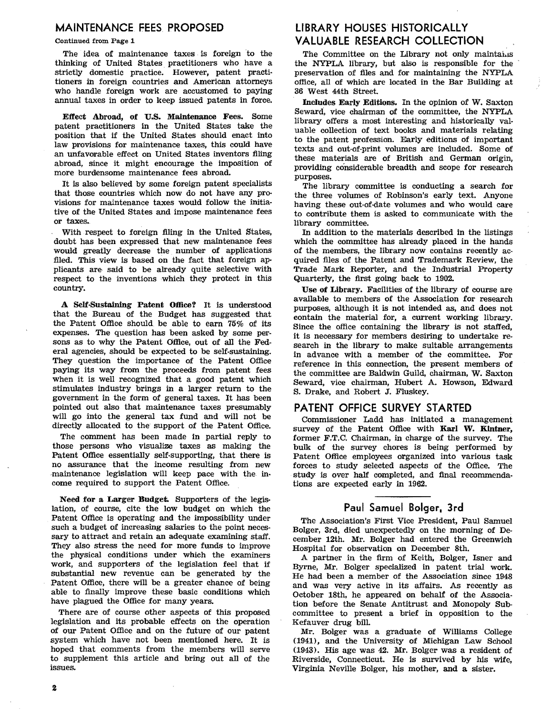## MAINTENANCE FEES PROPOSED

Continued from Page 1

The idea of maintenance taxes is foreign to the thinking of United States practitioners who have a strictly domestic practice. However, patent practitioners in foreign countries and American attorneys who handle foreign work are accustomed to paying annual taxes in order to keep issued patents in force.

Effect Abroad, of U.S. Maintenance Fees. Some patent practitioners in the United States take the position that if the United States should enact into law provisions for maintenance taxes, this could have an unfavorable effect on United States inventors filing abroad, since it might encourage the imposition of more burdensome maintenance fees abroad.

It is also believed by some foreign patent specialists that those countries which now do not have any provisions for maintenance taxes would follow the initiative of the United States and impose maintenance fees or taxes.

With respect to foreign filing in the United States, doubt has been expressed that new maintenance fees would greatly decrease the number of applications filed. This view is based on the fact that foreign applicants are said to be already quite selective with respect to the inventions which they protect in this country.

A Self-Sustaining Patent Office? It is understood that the Bureau of the Budget has suggested that the Patent Office should. be able to earn 75% of its expenses. The question has been asked by some persons as to why the Patent Office, out of all the Fed· eral agencies, should be expected to be self-sustaining. They question the importance of the Patent Office paying its way from the proceeds from patent fees when it is well recognized that a good patent which stimulates industry brings in a larger return to the government in the form of general taxes. It has been pointed out also that maintenance taxes presumably will go into the general tax fund and will not be directly allocated to the support of the Patent Office.

The comment has been made in partial reply to those persons who visualize taxes as making the Patent Office essentially self·supporting, that there is no assurance that the income resulting from new maintenance legislation will keep pace with the income required to support the Patent Office.

Need for a Larger Budget. Supporters of the legislation, of course, cite the low budget on which the Patent Office is operating and the impossibility under such a budget of increasing salaries to the point necessary to attract and retain an adequate examining staff. They also stress the need for more funds to improve the physical conditions under which the examiners work, and supporters of the legislation feel that if substantial new revenue can be generated by the Patent Office, there will be a greater chance of being able to finally improve these basic conditions which have plagued the Office for many years.

There are of course other aspects of this proposed legislation and its probable effects on the operation of our Patent Office and on the future of our patent system which have not been mentioned here. It is hoped that comments from the members will serve to supplement this article and bring out all of the issues.

# LIBRARY HOUSES HISTORICALLY VALUABLE RESEARCH COLLECTION

The Committee on the Library not only maintains the NYPLA library, but also is responsible for the preservation of files and for maintaining the NYPLA office, all of which are located in the Bar Building at 36 West 44th Street.

Includes Early Editions. In the opinion of W. Saxton Seward, vice chairman of the committee, the NYPLA library offers a most interesting and historically valuable collection of text books and materials relating to the patent profeSSion. Early editions of important texts and out-of-print volumes are included. Some of these materials are of British and German Origin, providing considerable breadth and scope for research purposes.

The library committee is conducting a search for the three volumes of Robinson'S early text. Anyone having these out-of-date volumes and who would care to contribute them is asked to communicate with the library committee.

In addition to the materials described in the listings which the committee has already placed in the hands of the members, the library now contains recently acquired files of the Patent and Trademark Review, the Trade Mark Reporter, and the Industrial Property Quarterly, the first going back to 1902.

Use of Library. Facilities of the library of course are available to members of the Association for research purposes, although it is not intended as, and does not contain the material for, a current working library. Since the office containing the library is not staffed, it is necessary for members desiring to undertake research in the library to make suitable arrangements in advance with a member of the committee. For reference in this connection, the present members of the committee are Baldwin Guild, chairman, W. Saxton Seward, vice chairman, Hubert A. Howson. Edward S. Drake, and Robert J. Fluskey.

### PATENT OFFICE SURVEY STARTED

Commissioner Ladd has initiated a management survey of the Patent Office with Karl W. Kintner, former F.T.C. Chairman, in charge of the survey. The bulk of the survey chores is being performed by Patent Office employees organized into various task forces to study selected aspects of the Office. The study is over half completed, and final recommendations are expected early in 1962.

Paul Samuel Bolger. 3rd

The Association's First Vice President, Paul Samuel Bolger, 3rd, died unexpectedly on the morning of December 12th. Mr. Bolger had entered the Greenwich Hospital for observation on December 8th.

A partner in the firm of Keith, Bolger, Isner and Byrne, Mr. Bolger specialized in patent trial work. He had been a member of the Association since 1948 and was very active in its affairs. As recently as October 18th, he appeared on behalf of the Associa· tion before the Senate Antitrust and Monopoly Subcommittee to present a brief in opposition to the Kefauver drug bill

Mr. Bolger was a graduate of Williams College (1941), and the University of Michigan Law School (1943). His age was 42. Mr. Bolger was a resident of Riverside, Connecticut. He is survived by his wife, Virginia Neville Bolger, his mother, and a sister.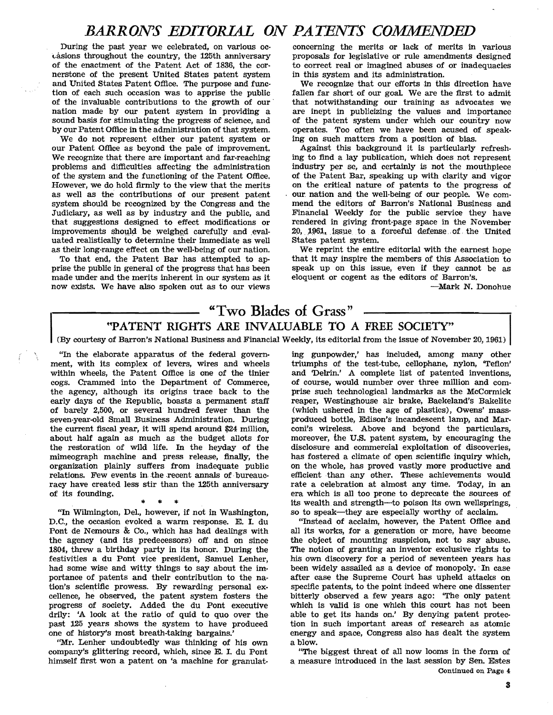# *BARRONS EDITORIAL ON PATENTS COMMENDED*

During the past year we celebrated, on various ocuisions throughout the country, the 125th anniversary of the enactment of the Patent Act of 1836, the cornerstone of the present United states patent system and United states Patent Office. The purpose and function of each such occasion was to apprise the public of the invaluable contributions to the growth of our' nation made by our patent system in providing a sound basis for stimulating the progress of science, and by our Patent Office in the administration of that system.

We do not represent either our patent system or our Patent Office as beyond the pale of improvement. We recognize that there are important and far-reaching problems and difficulties affecting the administration of the system and the functioning of the Patent Office. However, we do hold firmly to the view that the merits as well as the contributions of our present patent system should be recognized by the Congress and the Judiciary, as well as by industry and the public, and that suggestions designed to effect modifications or improvements should be weighed carefully and evaluated realistically to determine their immediate as well as their long-range effect on the well-being of our nation.

To that end, the Patent Bar has attempted to apprise the public in general of the progress that has been made under and the merits inherent in our system as it now exists. We have also spoken out as to our views

concerning the merits or lack of merits in various proposals for legislative or rule amendments designed to correct real or imagined abuses of or inadequacies in this system and its administration.

We recognize that our efforts in this direction have fallen far short of our goal. We are the first to admit that notwithstanding our training as advocates we are inept in publicizing the values and importance of the patent system under which our country now operates. Too often we have been acused of speaking on such matters from a position of bias.

Against this background it is particularly refreshing to find a lay publication, which does not represent industry per se, and certainly is not the mouthpiece of the Patent Bar, speaking up with clarity and vigor on the critical nature of patents to the progress of our nation and the well-being of our people. We commend the editors of Barron's National Business and Financial Weekly for the public service they have rendered in giving front·page space in the November 20, 1961, issue to a forceful defense of the United states patent system.

We reprint the entire editorial with the earnest hope that it may inspire the members of this Association to speak up on this issue, even if they cannot be as eloquent or cogent as the editors of Barron's.

-Mark N. Donohue

# "Two Blades of Grass" "PATENT RIGHTS ARE INVALUABLE TO A FREE SOCIETY"

(By courtesy of Barron's National Business and Financial Weekly, its editorial from the issue of November 20, 1961)

"In the elaborate apparatus of the federal govern· ment, with its complex of levers, wires and wheels within wheels, the Patent Office is one of the tinier cogs. Crammed into the Department of Commerce, the agency, although its origins trace back to the early days of the Republic, boasts a permanent staff of barely 2,500, or several hundred fewer than the seven·year·old Small Business Administration. During the current fiscal year, it will spend around \$24 million, about half again as much as the budget allots for the restoration of wild life. In the heyday of the mimeograph machine and press release, finally, the organization plainly suffers from inadequate public relations. Few events in the recent annals of bureaucracy have created less stir than the 125th anniversary of its founding.

,., \* \*

"In Wilmington, Del., however, if not in Washington, D.C., the occasion evoked a warm response. E. I. du Pont de Nemours &; Co., which has had dealings with the agency (and its predecessors) off and on since 1804, threw a birthday party in its honor. During the festivities a du Pont vice president, Samuel Lenher, had some wise and witty things to say about the im· portance of patents and their contribution to the nation's scientific prowess. By rewarding personal excellence, he observed, the patent system fosters the progress of society. Added the du Pont executive drily: 'A look at the ratio of quid to quo over the past 125 years shows the system to have produced one of history's most breath-taking bargains.'

"Mr. Lenher undoubtedly was thinking of his own company's glittering record, which, since E. I. du Pont himself first won a patent on 'a machine for granulating gunpowder,' has included, among many other triumphs of the test·tube, cellophane, nylon, 'Teflon' and 'Delrin.' A complete list of patented inventions, of course, would number over three million and comprise such technological landmarks as the McCormick reaper, Westinghouse air brake, Baekeland's Bakelite (which ushered in the age of plastics), Owens' massproduced bottle, Edison's incandescent lamp, and Marconi's wireless. Above and beyond the particulars, moreover, the U.S. patent system, by encouraging the disclosure and commercial exploitation of discoveries, has fostered a climate of open scientific inquiry which, on the whole, has proved vastly more productive and efficient than any other. These achievements would rate a celebration at almost any time. Today, in an era which is all too prone to deprecate the sources of its wealth.and strength-to poison its own wellsprings, so to speak-they are especially worthy of acclaim.

"Instead of acclaim, however, the Patent Office and all its works, for a generation or more, have become the object of mounting suspicion, not to say abuse. The notion of granting an inventor exclusive rights to his own discovery for a period of seventeen years has been widely assailed as a device of monopoly. In case after case the Supreme Court has upheld attacks on specific patents, to the point indeed where one dissenter bitterly observed a few years ago: 'The only patent which is valid is one which this court has not been able to get its hands on.' By denying patent protection in such important areas of research as atomic energy and space, Congress also has dealt the system a blow.

"The biggest threat of all now looms in the form of a measure introduced in the last session by Sen. Estes Continued on Page 4